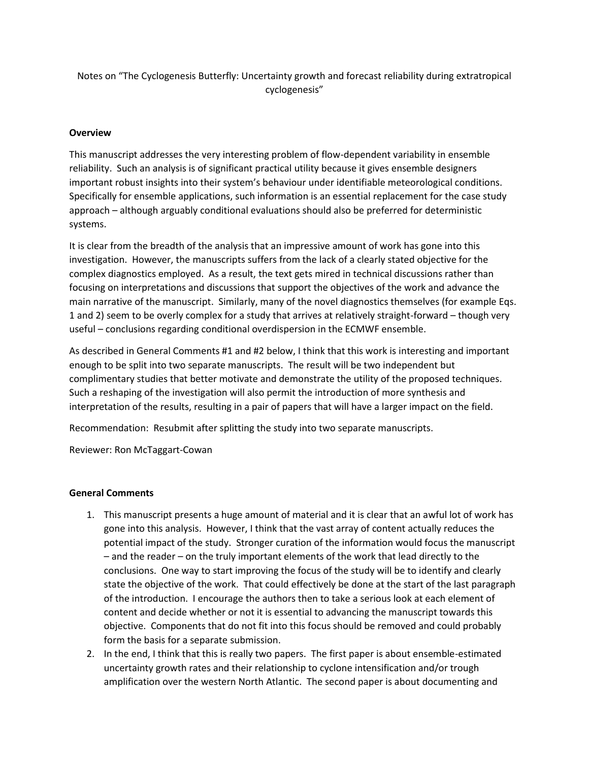Notes on "The Cyclogenesis Butterfly: Uncertainty growth and forecast reliability during extratropical cyclogenesis"

## **Overview**

This manuscript addresses the very interesting problem of flow-dependent variability in ensemble reliability. Such an analysis is of significant practical utility because it gives ensemble designers important robust insights into their system's behaviour under identifiable meteorological conditions. Specifically for ensemble applications, such information is an essential replacement for the case study approach – although arguably conditional evaluations should also be preferred for deterministic systems.

It is clear from the breadth of the analysis that an impressive amount of work has gone into this investigation. However, the manuscripts suffers from the lack of a clearly stated objective for the complex diagnostics employed. As a result, the text gets mired in technical discussions rather than focusing on interpretations and discussions that support the objectives of the work and advance the main narrative of the manuscript. Similarly, many of the novel diagnostics themselves (for example Eqs. 1 and 2) seem to be overly complex for a study that arrives at relatively straight-forward – though very useful – conclusions regarding conditional overdispersion in the ECMWF ensemble.

As described in General Comments #1 and #2 below, I think that this work is interesting and important enough to be split into two separate manuscripts. The result will be two independent but complimentary studies that better motivate and demonstrate the utility of the proposed techniques. Such a reshaping of the investigation will also permit the introduction of more synthesis and interpretation of the results, resulting in a pair of papers that will have a larger impact on the field.

Recommendation: Resubmit after splitting the study into two separate manuscripts.

Reviewer: Ron McTaggart-Cowan

## **General Comments**

- 1. This manuscript presents a huge amount of material and it is clear that an awful lot of work has gone into this analysis. However, I think that the vast array of content actually reduces the potential impact of the study. Stronger curation of the information would focus the manuscript – and the reader – on the truly important elements of the work that lead directly to the conclusions. One way to start improving the focus of the study will be to identify and clearly state the objective of the work. That could effectively be done at the start of the last paragraph of the introduction. I encourage the authors then to take a serious look at each element of content and decide whether or not it is essential to advancing the manuscript towards this objective. Components that do not fit into this focus should be removed and could probably form the basis for a separate submission.
- 2. In the end, I think that this is really two papers. The first paper is about ensemble-estimated uncertainty growth rates and their relationship to cyclone intensification and/or trough amplification over the western North Atlantic. The second paper is about documenting and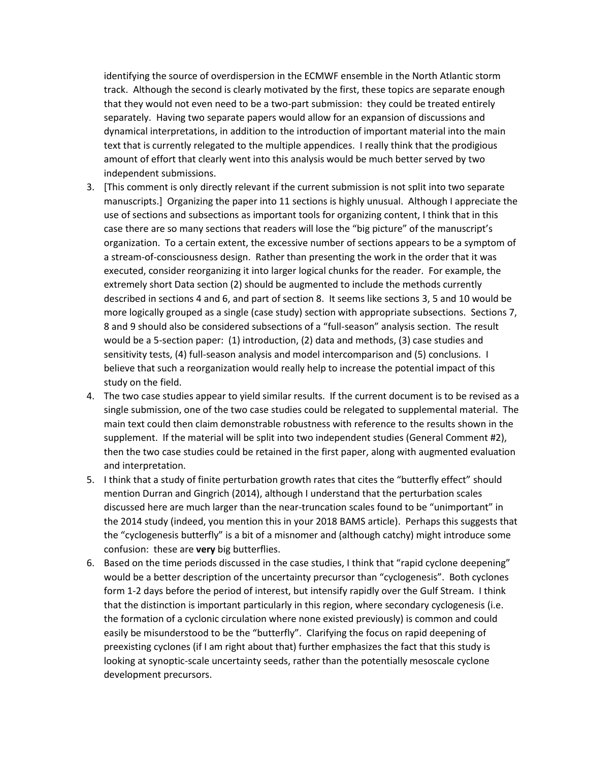identifying the source of overdispersion in the ECMWF ensemble in the North Atlantic storm track. Although the second is clearly motivated by the first, these topics are separate enough that they would not even need to be a two-part submission: they could be treated entirely separately. Having two separate papers would allow for an expansion of discussions and dynamical interpretations, in addition to the introduction of important material into the main text that is currently relegated to the multiple appendices. I really think that the prodigious amount of effort that clearly went into this analysis would be much better served by two independent submissions.

- 3. [This comment is only directly relevant if the current submission is not split into two separate manuscripts.] Organizing the paper into 11 sections is highly unusual. Although I appreciate the use of sections and subsections as important tools for organizing content, I think that in this case there are so many sections that readers will lose the "big picture" of the manuscript's organization. To a certain extent, the excessive number of sections appears to be a symptom of a stream-of-consciousness design. Rather than presenting the work in the order that it was executed, consider reorganizing it into larger logical chunks for the reader. For example, the extremely short Data section (2) should be augmented to include the methods currently described in sections 4 and 6, and part of section 8. It seems like sections 3, 5 and 10 would be more logically grouped as a single (case study) section with appropriate subsections. Sections 7, 8 and 9 should also be considered subsections of a "full-season" analysis section. The result would be a 5-section paper: (1) introduction, (2) data and methods, (3) case studies and sensitivity tests, (4) full-season analysis and model intercomparison and (5) conclusions. I believe that such a reorganization would really help to increase the potential impact of this study on the field.
- 4. The two case studies appear to yield similar results. If the current document is to be revised as a single submission, one of the two case studies could be relegated to supplemental material. The main text could then claim demonstrable robustness with reference to the results shown in the supplement. If the material will be split into two independent studies (General Comment #2), then the two case studies could be retained in the first paper, along with augmented evaluation and interpretation.
- 5. I think that a study of finite perturbation growth rates that cites the "butterfly effect" should mention Durran and Gingrich (2014), although I understand that the perturbation scales discussed here are much larger than the near-truncation scales found to be "unimportant" in the 2014 study (indeed, you mention this in your 2018 BAMS article). Perhaps this suggests that the "cyclogenesis butterfly" is a bit of a misnomer and (although catchy) might introduce some confusion: these are **very** big butterflies.
- 6. Based on the time periods discussed in the case studies, I think that "rapid cyclone deepening" would be a better description of the uncertainty precursor than "cyclogenesis". Both cyclones form 1-2 days before the period of interest, but intensify rapidly over the Gulf Stream. I think that the distinction is important particularly in this region, where secondary cyclogenesis (i.e. the formation of a cyclonic circulation where none existed previously) is common and could easily be misunderstood to be the "butterfly". Clarifying the focus on rapid deepening of preexisting cyclones (if I am right about that) further emphasizes the fact that this study is looking at synoptic-scale uncertainty seeds, rather than the potentially mesoscale cyclone development precursors.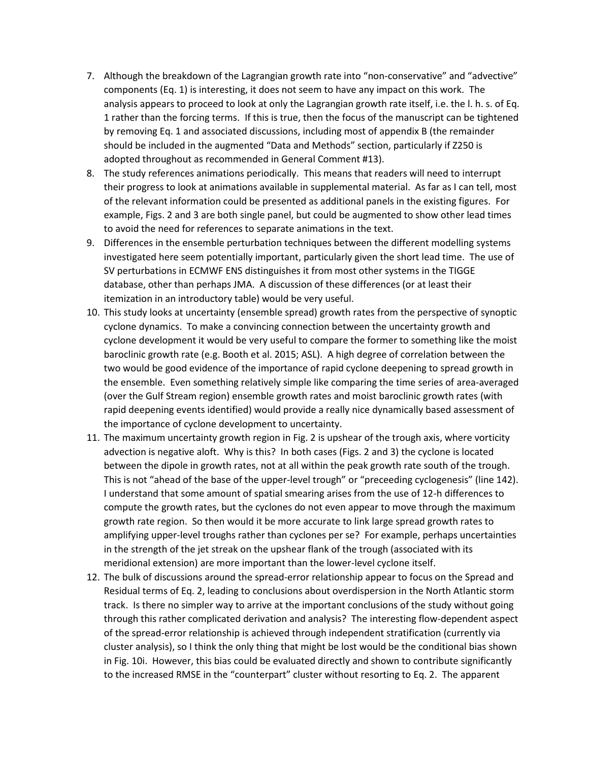- 7. Although the breakdown of the Lagrangian growth rate into "non-conservative" and "advective" components (Eq. 1) is interesting, it does not seem to have any impact on this work. The analysis appears to proceed to look at only the Lagrangian growth rate itself, i.e. the l. h. s. of Eq. 1 rather than the forcing terms. If this is true, then the focus of the manuscript can be tightened by removing Eq. 1 and associated discussions, including most of appendix B (the remainder should be included in the augmented "Data and Methods" section, particularly if Z250 is adopted throughout as recommended in General Comment #13).
- 8. The study references animations periodically. This means that readers will need to interrupt their progress to look at animations available in supplemental material. As far as I can tell, most of the relevant information could be presented as additional panels in the existing figures. For example, Figs. 2 and 3 are both single panel, but could be augmented to show other lead times to avoid the need for references to separate animations in the text.
- 9. Differences in the ensemble perturbation techniques between the different modelling systems investigated here seem potentially important, particularly given the short lead time. The use of SV perturbations in ECMWF ENS distinguishes it from most other systems in the TIGGE database, other than perhaps JMA. A discussion of these differences (or at least their itemization in an introductory table) would be very useful.
- 10. This study looks at uncertainty (ensemble spread) growth rates from the perspective of synoptic cyclone dynamics. To make a convincing connection between the uncertainty growth and cyclone development it would be very useful to compare the former to something like the moist baroclinic growth rate (e.g. Booth et al. 2015; ASL). A high degree of correlation between the two would be good evidence of the importance of rapid cyclone deepening to spread growth in the ensemble. Even something relatively simple like comparing the time series of area-averaged (over the Gulf Stream region) ensemble growth rates and moist baroclinic growth rates (with rapid deepening events identified) would provide a really nice dynamically based assessment of the importance of cyclone development to uncertainty.
- 11. The maximum uncertainty growth region in Fig. 2 is upshear of the trough axis, where vorticity advection is negative aloft. Why is this? In both cases (Figs. 2 and 3) the cyclone is located between the dipole in growth rates, not at all within the peak growth rate south of the trough. This is not "ahead of the base of the upper-level trough" or "preceeding cyclogenesis" (line 142). I understand that some amount of spatial smearing arises from the use of 12-h differences to compute the growth rates, but the cyclones do not even appear to move through the maximum growth rate region. So then would it be more accurate to link large spread growth rates to amplifying upper-level troughs rather than cyclones per se? For example, perhaps uncertainties in the strength of the jet streak on the upshear flank of the trough (associated with its meridional extension) are more important than the lower-level cyclone itself.
- 12. The bulk of discussions around the spread-error relationship appear to focus on the Spread and Residual terms of Eq. 2, leading to conclusions about overdispersion in the North Atlantic storm track. Is there no simpler way to arrive at the important conclusions of the study without going through this rather complicated derivation and analysis? The interesting flow-dependent aspect of the spread-error relationship is achieved through independent stratification (currently via cluster analysis), so I think the only thing that might be lost would be the conditional bias shown in Fig. 10i. However, this bias could be evaluated directly and shown to contribute significantly to the increased RMSE in the "counterpart" cluster without resorting to Eq. 2. The apparent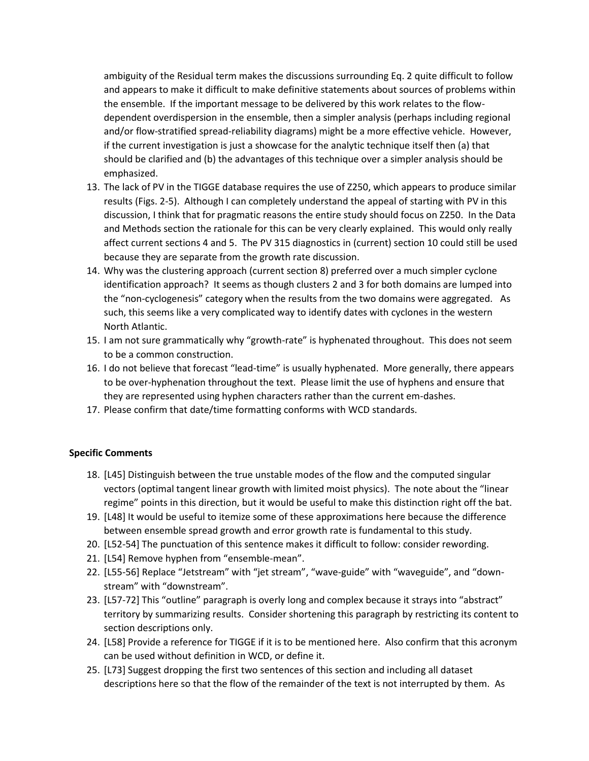ambiguity of the Residual term makes the discussions surrounding Eq. 2 quite difficult to follow and appears to make it difficult to make definitive statements about sources of problems within the ensemble. If the important message to be delivered by this work relates to the flowdependent overdispersion in the ensemble, then a simpler analysis (perhaps including regional and/or flow-stratified spread-reliability diagrams) might be a more effective vehicle. However, if the current investigation is just a showcase for the analytic technique itself then (a) that should be clarified and (b) the advantages of this technique over a simpler analysis should be emphasized.

- 13. The lack of PV in the TIGGE database requires the use of Z250, which appears to produce similar results (Figs. 2-5). Although I can completely understand the appeal of starting with PV in this discussion, I think that for pragmatic reasons the entire study should focus on Z250. In the Data and Methods section the rationale for this can be very clearly explained. This would only really affect current sections 4 and 5. The PV 315 diagnostics in (current) section 10 could still be used because they are separate from the growth rate discussion.
- 14. Why was the clustering approach (current section 8) preferred over a much simpler cyclone identification approach? It seems as though clusters 2 and 3 for both domains are lumped into the "non-cyclogenesis" category when the results from the two domains were aggregated. As such, this seems like a very complicated way to identify dates with cyclones in the western North Atlantic.
- 15. I am not sure grammatically why "growth-rate" is hyphenated throughout. This does not seem to be a common construction.
- 16. I do not believe that forecast "lead-time" is usually hyphenated. More generally, there appears to be over-hyphenation throughout the text. Please limit the use of hyphens and ensure that they are represented using hyphen characters rather than the current em-dashes.
- 17. Please confirm that date/time formatting conforms with WCD standards.

## **Specific Comments**

- 18. [L45] Distinguish between the true unstable modes of the flow and the computed singular vectors (optimal tangent linear growth with limited moist physics). The note about the "linear regime" points in this direction, but it would be useful to make this distinction right off the bat.
- 19. [L48] It would be useful to itemize some of these approximations here because the difference between ensemble spread growth and error growth rate is fundamental to this study.
- 20. [L52-54] The punctuation of this sentence makes it difficult to follow: consider rewording.
- 21. [L54] Remove hyphen from "ensemble-mean".
- 22. [L55-56] Replace "Jetstream" with "jet stream", "wave-guide" with "waveguide", and "downstream" with "downstream".
- 23. [L57-72] This "outline" paragraph is overly long and complex because it strays into "abstract" territory by summarizing results. Consider shortening this paragraph by restricting its content to section descriptions only.
- 24. [L58] Provide a reference for TIGGE if it is to be mentioned here. Also confirm that this acronym can be used without definition in WCD, or define it.
- 25. [L73] Suggest dropping the first two sentences of this section and including all dataset descriptions here so that the flow of the remainder of the text is not interrupted by them. As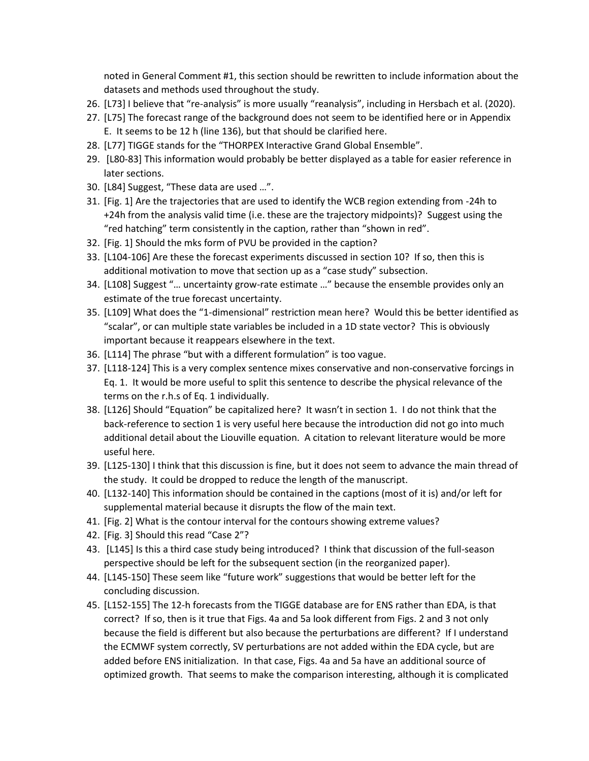noted in General Comment #1, this section should be rewritten to include information about the datasets and methods used throughout the study.

- 26. [L73] I believe that "re-analysis" is more usually "reanalysis", including in Hersbach et al. (2020).
- 27. [L75] The forecast range of the background does not seem to be identified here or in Appendix E. It seems to be 12 h (line 136), but that should be clarified here.
- 28. [L77] TIGGE stands for the "THORPEX Interactive Grand Global Ensemble".
- 29. [L80-83] This information would probably be better displayed as a table for easier reference in later sections.
- 30. [L84] Suggest, "These data are used …".
- 31. [Fig. 1] Are the trajectories that are used to identify the WCB region extending from -24h to +24h from the analysis valid time (i.e. these are the trajectory midpoints)? Suggest using the "red hatching" term consistently in the caption, rather than "shown in red".
- 32. [Fig. 1] Should the mks form of PVU be provided in the caption?
- 33. [L104-106] Are these the forecast experiments discussed in section 10? If so, then this is additional motivation to move that section up as a "case study" subsection.
- 34. [L108] Suggest "… uncertainty grow-rate estimate …" because the ensemble provides only an estimate of the true forecast uncertainty.
- 35. [L109] What does the "1-dimensional" restriction mean here? Would this be better identified as "scalar", or can multiple state variables be included in a 1D state vector? This is obviously important because it reappears elsewhere in the text.
- 36. [L114] The phrase "but with a different formulation" is too vague.
- 37. [L118-124] This is a very complex sentence mixes conservative and non-conservative forcings in Eq. 1. It would be more useful to split this sentence to describe the physical relevance of the terms on the r.h.s of Eq. 1 individually.
- 38. [L126] Should "Equation" be capitalized here? It wasn't in section 1. I do not think that the back-reference to section 1 is very useful here because the introduction did not go into much additional detail about the Liouville equation. A citation to relevant literature would be more useful here.
- 39. [L125-130] I think that this discussion is fine, but it does not seem to advance the main thread of the study. It could be dropped to reduce the length of the manuscript.
- 40. [L132-140] This information should be contained in the captions (most of it is) and/or left for supplemental material because it disrupts the flow of the main text.
- 41. [Fig. 2] What is the contour interval for the contours showing extreme values?
- 42. [Fig. 3] Should this read "Case 2"?
- 43. [L145] Is this a third case study being introduced? I think that discussion of the full-season perspective should be left for the subsequent section (in the reorganized paper).
- 44. [L145-150] These seem like "future work" suggestions that would be better left for the concluding discussion.
- 45. [L152-155] The 12-h forecasts from the TIGGE database are for ENS rather than EDA, is that correct? If so, then is it true that Figs. 4a and 5a look different from Figs. 2 and 3 not only because the field is different but also because the perturbations are different? If I understand the ECMWF system correctly, SV perturbations are not added within the EDA cycle, but are added before ENS initialization. In that case, Figs. 4a and 5a have an additional source of optimized growth. That seems to make the comparison interesting, although it is complicated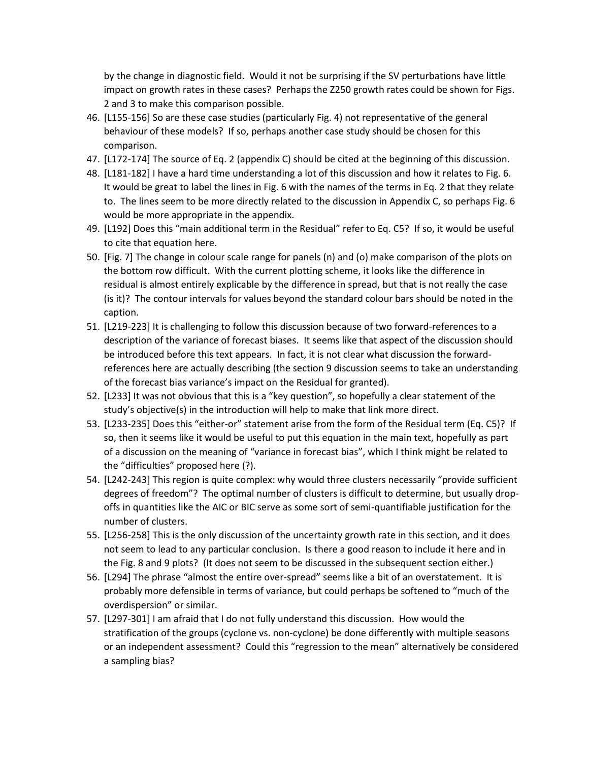by the change in diagnostic field. Would it not be surprising if the SV perturbations have little impact on growth rates in these cases? Perhaps the Z250 growth rates could be shown for Figs. 2 and 3 to make this comparison possible.

- 46. [L155-156] So are these case studies (particularly Fig. 4) not representative of the general behaviour of these models? If so, perhaps another case study should be chosen for this comparison.
- 47. [L172-174] The source of Eq. 2 (appendix C) should be cited at the beginning of this discussion.
- 48. [L181-182] I have a hard time understanding a lot of this discussion and how it relates to Fig. 6. It would be great to label the lines in Fig. 6 with the names of the terms in Eq. 2 that they relate to. The lines seem to be more directly related to the discussion in Appendix C, so perhaps Fig. 6 would be more appropriate in the appendix.
- 49. [L192] Does this "main additional term in the Residual" refer to Eq. C5? If so, it would be useful to cite that equation here.
- 50. [Fig. 7] The change in colour scale range for panels (n) and (o) make comparison of the plots on the bottom row difficult. With the current plotting scheme, it looks like the difference in residual is almost entirely explicable by the difference in spread, but that is not really the case (is it)? The contour intervals for values beyond the standard colour bars should be noted in the caption.
- 51. [L219-223] It is challenging to follow this discussion because of two forward-references to a description of the variance of forecast biases. It seems like that aspect of the discussion should be introduced before this text appears. In fact, it is not clear what discussion the forwardreferences here are actually describing (the section 9 discussion seems to take an understanding of the forecast bias variance's impact on the Residual for granted).
- 52. [L233] It was not obvious that this is a "key question", so hopefully a clear statement of the study's objective(s) in the introduction will help to make that link more direct.
- 53. [L233-235] Does this "either-or" statement arise from the form of the Residual term (Eq. C5)? If so, then it seems like it would be useful to put this equation in the main text, hopefully as part of a discussion on the meaning of "variance in forecast bias", which I think might be related to the "difficulties" proposed here (?).
- 54. [L242-243] This region is quite complex: why would three clusters necessarily "provide sufficient degrees of freedom"? The optimal number of clusters is difficult to determine, but usually dropoffs in quantities like the AIC or BIC serve as some sort of semi-quantifiable justification for the number of clusters.
- 55. [L256-258] This is the only discussion of the uncertainty growth rate in this section, and it does not seem to lead to any particular conclusion. Is there a good reason to include it here and in the Fig. 8 and 9 plots? (It does not seem to be discussed in the subsequent section either.)
- 56. [L294] The phrase "almost the entire over-spread" seems like a bit of an overstatement. It is probably more defensible in terms of variance, but could perhaps be softened to "much of the overdispersion" or similar.
- 57. [L297-301] I am afraid that I do not fully understand this discussion. How would the stratification of the groups (cyclone vs. non-cyclone) be done differently with multiple seasons or an independent assessment? Could this "regression to the mean" alternatively be considered a sampling bias?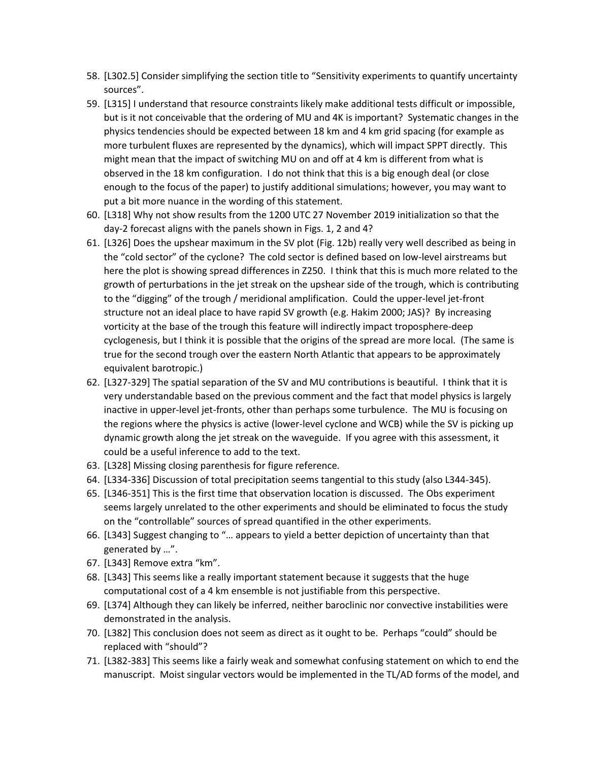- 58. [L302.5] Consider simplifying the section title to "Sensitivity experiments to quantify uncertainty sources".
- 59. [L315] I understand that resource constraints likely make additional tests difficult or impossible, but is it not conceivable that the ordering of MU and 4K is important? Systematic changes in the physics tendencies should be expected between 18 km and 4 km grid spacing (for example as more turbulent fluxes are represented by the dynamics), which will impact SPPT directly. This might mean that the impact of switching MU on and off at 4 km is different from what is observed in the 18 km configuration. I do not think that this is a big enough deal (or close enough to the focus of the paper) to justify additional simulations; however, you may want to put a bit more nuance in the wording of this statement.
- 60. [L318] Why not show results from the 1200 UTC 27 November 2019 initialization so that the day-2 forecast aligns with the panels shown in Figs. 1, 2 and 4?
- 61. [L326] Does the upshear maximum in the SV plot (Fig. 12b) really very well described as being in the "cold sector" of the cyclone? The cold sector is defined based on low-level airstreams but here the plot is showing spread differences in Z250. I think that this is much more related to the growth of perturbations in the jet streak on the upshear side of the trough, which is contributing to the "digging" of the trough / meridional amplification. Could the upper-level jet-front structure not an ideal place to have rapid SV growth (e.g. Hakim 2000; JAS)? By increasing vorticity at the base of the trough this feature will indirectly impact troposphere-deep cyclogenesis, but I think it is possible that the origins of the spread are more local. (The same is true for the second trough over the eastern North Atlantic that appears to be approximately equivalent barotropic.)
- 62. [L327-329] The spatial separation of the SV and MU contributions is beautiful. I think that it is very understandable based on the previous comment and the fact that model physics is largely inactive in upper-level jet-fronts, other than perhaps some turbulence. The MU is focusing on the regions where the physics is active (lower-level cyclone and WCB) while the SV is picking up dynamic growth along the jet streak on the waveguide. If you agree with this assessment, it could be a useful inference to add to the text.
- 63. [L328] Missing closing parenthesis for figure reference.
- 64. [L334-336] Discussion of total precipitation seems tangential to this study (also L344-345).
- 65. [L346-351] This is the first time that observation location is discussed. The Obs experiment seems largely unrelated to the other experiments and should be eliminated to focus the study on the "controllable" sources of spread quantified in the other experiments.
- 66. [L343] Suggest changing to "… appears to yield a better depiction of uncertainty than that generated by …".
- 67. [L343] Remove extra "km".
- 68. [L343] This seems like a really important statement because it suggests that the huge computational cost of a 4 km ensemble is not justifiable from this perspective.
- 69. [L374] Although they can likely be inferred, neither baroclinic nor convective instabilities were demonstrated in the analysis.
- 70. [L382] This conclusion does not seem as direct as it ought to be. Perhaps "could" should be replaced with "should"?
- 71. [L382-383] This seems like a fairly weak and somewhat confusing statement on which to end the manuscript. Moist singular vectors would be implemented in the TL/AD forms of the model, and